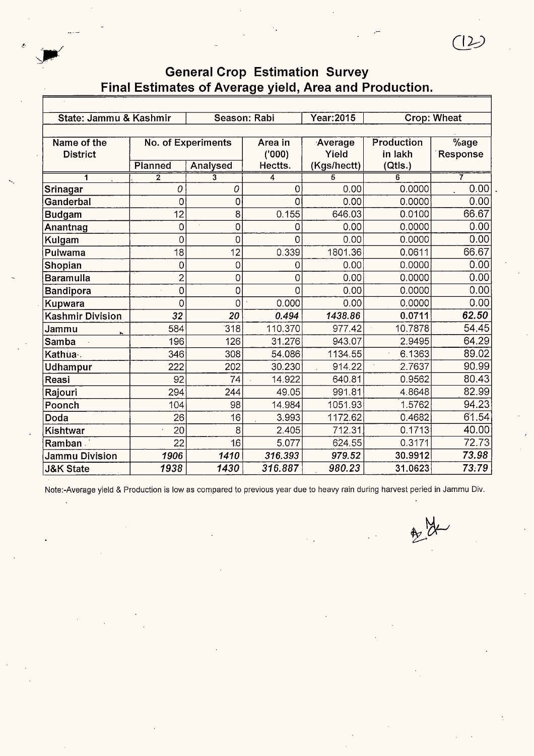| State: Jammu & Kashmir  |                     |                           | Season: Rabi | Year: 2015  |              | Crop: Wheat            |  |
|-------------------------|---------------------|---------------------------|--------------|-------------|--------------|------------------------|--|
|                         |                     |                           |              |             |              |                        |  |
| Name of the             |                     | <b>No. of Experiments</b> | Area in      | Average     | Production   | $\sqrt[6]{\text{age}}$ |  |
| <b>District</b>         |                     |                           | (000)        | Yield       | in lakh      | Response               |  |
|                         | Planned             | <b>Analysed</b>           | Hectts.      | (Kgs/hectt) | (Qtls.)      | 7                      |  |
| 1                       | $\overline{2}$<br>0 | 3<br>0                    | 4<br>0       | 5<br>0.00   | 6<br>0.0000  | 0.00                   |  |
| Srinagar                |                     |                           |              |             |              |                        |  |
| Ganderbal               | 0                   | 0                         | 0            | 0.00        | 0.0000       | 0.00                   |  |
| <b>Budgam</b>           | 12                  | 8                         | 0.155        | 646.03      | 0.0100       | 66.67                  |  |
| Anantnag                | $\overline{0}$      | 0                         | 0            | 0.00        | 0.0000       | 0.00                   |  |
| Kulgam                  | 0                   | 0                         | 0            | 0.00        | 0.0000       | 0.00                   |  |
| Pulwama                 | 18                  | 12                        | 0.339        | 1801.36     | 0.0611       | 66.67                  |  |
| Shopian                 | 0                   | 0                         | 0            | 0.00        | 0.0000       | 0.00                   |  |
| <b>Baramulla</b>        | 2                   | 0                         | 0            | 0.00        | 0.0000       | 0.00                   |  |
| Bandipora               | 0                   | 0                         | Ω            | 0.00        | 0.0000       | 0.00                   |  |
| Kupwara                 | 0                   | 0                         | 0.000        | 0.00        | 0.0000       | 0.00                   |  |
| <b>Kashmir Division</b> | 32                  | $\overline{20}$           | 0.494        | 1438.86     | 0.0711       | 62.50                  |  |
| Jammu                   | 584                 | 318                       | 110.370      | 977.42      | 10.7878      | 54.45                  |  |
| Samba                   | 196                 | 126                       | 31.276       | 943.07      | 2.9495       | 64.29                  |  |
| Kathua.                 | 346                 | 308                       | 54.086       | 1134.55     | 6.1363<br>J. | 89.02                  |  |
| Udhampur                | 222                 | 202                       | 30.230       | 914.22      | 2.7637       | 90.99                  |  |
| Reasi                   | 92                  | 74                        | 14.922       | 640.81      | 0.9562       | 80.43                  |  |
| Rajouri                 | 294                 | 244                       | 49.05        | 991.81      | 4.8648       | 82.99                  |  |
| Poonch                  | 104                 | 98                        | 14.984       | 1051.93     | 1.5762       | 94.23                  |  |
| Doda                    | 26                  | 16                        | 3.993        | 1172.62     | 0.4682       | 61.54                  |  |
| Kishtwar                | 20                  | 8                         | 2.405        | 712.31      | 0.1713       | 40.00                  |  |
| Ramban                  | 22                  | 16                        | 5.077        | 624.55      | 0.3171       | 72.73                  |  |
| Jammu Division          | 1906                | 1410                      | 316.393      | 979.52      | 30.9912      | 73.98                  |  |
| <b>J&amp;K State</b>    | 1938                | 1430                      | 316.887      | 980.23      | 31.0623      | 73.79                  |  |

Note:-Average yield & Production is low as compared to previous year due to heavy rain during harvest peried in Jammu Div.

, M

*ill)*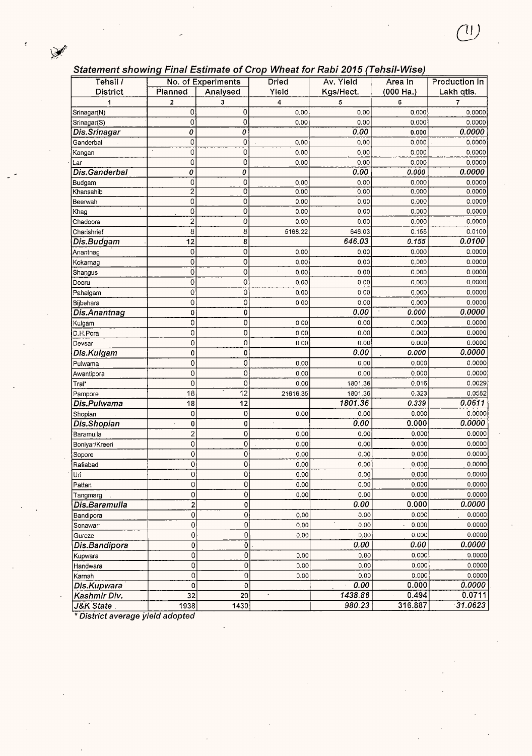### Statement showing Final Estimate of Crop Wheat for Rabi 2015 (Tehsil-Wise)

| Tehsil /       |                         | No. of Experiments | <b>Dried</b> | Av. Yield          | Area In   | Production In                      |
|----------------|-------------------------|--------------------|--------------|--------------------|-----------|------------------------------------|
| District       | Planned                 | Analysed           | Yield        | Kgs/Hect.          | (000 Ha.) | Lakh qtls.                         |
| 1              | $\mathbf 2$             | 3                  | 4            | 5                  | 6         | 7                                  |
| Srinagar(N)    | 0                       | 0                  | 0.00         | 0.00               | 0.000     | 0.0000                             |
| Srinagar(S)    | 0                       | 0                  | 0.00         | 0.00               | 0.000     | 0.0000                             |
| Dis.Srinagar   | 0                       | 0                  |              | 0.00               | 0.000     | 0.0000                             |
| Ganderbal      | 0                       | 0                  | 0.00         | 0.00               | 0.000     | 0.0000                             |
| Kangan         | 0                       | 0                  | 0.00         | 0.00               | 0.000     | 0.0000                             |
| Lar            | 0                       | 0                  | 0.00         | 0.00               | 0.000     | 0.0000                             |
| Dis.Ganderbal  | 0                       | 0                  |              | 0.00               | 0.000     | 0.0000                             |
| Budgam         | 0                       | 0                  | 0.00         | 0.00               | 0.000     | 0.0000                             |
| Khansahib      | $\overline{2}$          | ō                  | 0.00         | 0.00               | 0.000     | 0.0000                             |
| Beerwah        | 0                       | 0                  | 0.00         | 0.00               | 0.000     | 0.0000                             |
| Khag           | 0                       | 0                  | 0.00         | 0.00               | 0.000     | 0.0000                             |
| Chadoora       | 2                       | 0                  | 0.00         | 0.00               | 0.000     | 0.0000<br>$\overline{\phantom{a}}$ |
| Charishrief    | 8                       | 8                  | 5168.22      | 646.03             | 0.155     | 0.0100                             |
| Dis.Budgam     | 12                      | 8                  |              | 646.03             | 0.155     | 0.0100                             |
| Anantnag       | 0                       | $\overline{0}$     | 0.00         | 0.00               | 0.000     | 0.0000                             |
| Kokarnag       | 0                       | 0                  | 0.00         | 0.00               | 0.000     | 0.0000                             |
| Shangus        | 0                       | 0                  | 0.00         | 0.00               | 0.000     | 0.0000                             |
| Dooru          | 0                       | 0                  | 0.00         | 0.00               | 0.000     | 0.0000                             |
| Pahalgam       | 0                       | 0                  | 0.00         | 0.00               | 0.000     | 0.0000                             |
| Bijbehara      | 0                       | 0                  | 0.00         | 0.00               | 0.000     | 0.0000                             |
| Dis.Anantnag   | 0                       | 0                  |              | 0.00               | 0.000     | 0.0000                             |
| Kulgam         | 0                       | 0                  | 0.00         | 0.00               | 0.000     | 0.0000                             |
| D.H.Pora       | 0                       | 0                  | 0.00         | 0.00               | 0.000     | 0.0000                             |
| Devsar         | 0                       | 0                  | 0.00         | 0.00               | 0.000     | 0.0000                             |
| Dis.Kulgam     | 0                       | 0                  |              | 0.00               | 0.000     | 0.0000                             |
| Pulwama        | 0                       | 0                  | 0.00         | 0.00               | 0.000     | 0.0000                             |
| Awantipora     | 0                       | 0                  | 0.00         | 0.00               | 0.000     | 0.0000                             |
| Tral*          | $\overline{0}$          | 0                  | 0.00         | 1801.36            | 0.016     | 0.0029                             |
| Pampore        | 18                      | 12                 | 21616.35     | 1801.36            | 0.323     | 0.0582                             |
| Dis.Pulwama    | 18                      | 12                 |              | 1801.36            | 0.339     | 0.0611                             |
| Shopian        | 0                       | 0                  | 0.00         | 0.00               | 0.000     | 0.0000                             |
| Dis.Shopian    | 0                       | $\mathbf 0$        |              | 0.00               | 0.000     | 0.0000                             |
| Baramulla      | $\overline{\mathbf{c}}$ | 0                  | 0.00         | 0.00               | 0.000     | 0.0000                             |
| Boniyar/Kreeri | 0                       | $\mathbf 0$        | 0.00         | 0.00               | 0.000     | 0.0000                             |
| Sopore         | 0                       | 0                  | 0.00         | 0.00               | 0.000     | 0.0000                             |
| Rafiabad       | 0                       | 0                  | 0.00         | 0.00               | 0.000     | 0.0000                             |
| Uri            | 0                       | Ų                  | 0.00         | 0.00               | 0.000     | 0.0000                             |
| Pattan         | 0                       | 0                  | 0.00         | 0.00               | 0.000     | 0.0000                             |
| Tangmarg       | 0                       | 0                  | 0.00         | 0.00               | 0.000     | 0.0000                             |
| Dis.Baramulla  | $\boldsymbol{2}$        | $\mathbf 0$        |              | 0.00               | 0.000     | 0.0000                             |
| Bandipora      | 0                       | $\mathbf 0$        | 0.00         | 0.00               | 0.000     | 0.0000                             |
| Sonawari       | $\mathbf 0$             | 0                  | 0.00         | 0.00               | 0.000     | 0.0000                             |
| Gureze         | 0                       | 0                  | 0.00         | 0.00               | 0.000     | 0.0000                             |
| Dis.Bandipora  | 0                       | 0                  |              | 0.00               | 0.00      | 0.0000                             |
| Kupwara        | 0                       | 0                  | 0.00         | 0.00               | 0.000     | 0.0000                             |
| Handwara       | 0                       | 0                  | 0,00         | 0.00               | 0.000     | 0.0000                             |
| Karnah         | 0                       | 0                  | 0.00         | 0.00               | 0.000     | 0.0000                             |
| Dis.Kupwara    | 0                       | 0                  |              | 0.00<br>$\epsilon$ | 0.000     | 0.0000                             |
| Kashmir Div.   | 32                      | $\overline{20}$    |              | 1438.86            | 0.494     | 0.0711                             |
| J&K State      | 1938                    | 1430               |              | 980.23             | 316.887   | 31.0623                            |

\* District average yield adopted

~ *I*  .•• *.*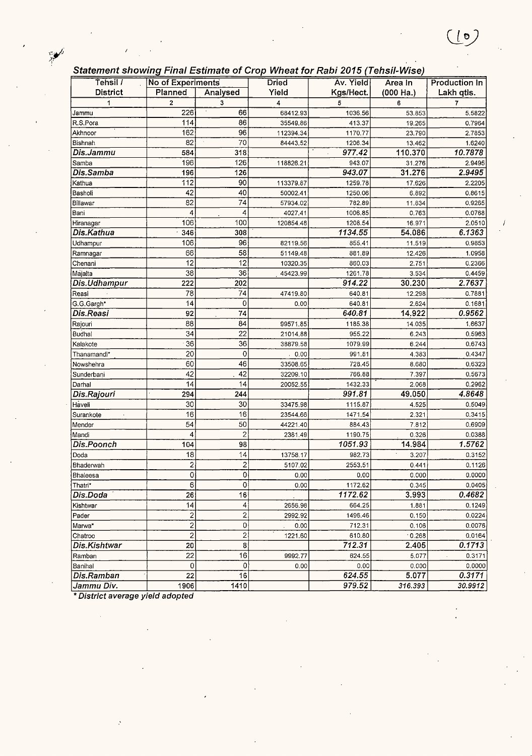|  |  | Statement showing Final Estimate of Crop Wheat for Rabi 2015 (Tehsil-Wise) |  |
|--|--|----------------------------------------------------------------------------|--|
|--|--|----------------------------------------------------------------------------|--|

 $(\underline{\bullet})$ 

| Statement Showing I mar LSumate Or Crop Wheat for Kabi 2019 [TenSil-WiSe]<br>Tehsil / | No of Experiments       |                         |           |           |           |                      |
|---------------------------------------------------------------------------------------|-------------------------|-------------------------|-----------|-----------|-----------|----------------------|
|                                                                                       |                         |                         | Dried     | Av. Yield | Area In   | <b>Production In</b> |
| <b>District</b>                                                                       | Planned                 | Analysed                | Yield     | Kgs/Hect. | (000 Ha.) | Lakh qtls.           |
| 1                                                                                     | $\overline{2}$          | 3<br>$\cdot$            | 4         | 5         | 6         | 7                    |
| Jammu                                                                                 | 226                     | 66                      | 68412.93  | 1036.56   | 53.853    | 5.5822               |
| R.S.Pora                                                                              | 114                     | 86                      | 35549.86  | 413.37    | 19.265    | 0.7964               |
| Akhnoor                                                                               | 162                     | 96                      | 112394.34 | 1170.77   | 23.790    | 2.7853               |
| Bishnah                                                                               | 82                      | 70                      | 84443.52  | 1206.34   | 13.462    | 1.6240               |
| Dis.Jammu                                                                             | 584                     | 318                     |           | 977.42    | 110.370   | 10.7878              |
| Samba                                                                                 | 196                     | 126                     | 118826.21 | 943.07    | 31.276    | 2.9495               |
| Dis.Samba                                                                             | 196                     | 126                     |           | 943.07    | 31.276    | 2.9495               |
| Kathua                                                                                | 112                     | 90                      | 113379.87 | 1259.78   | 17.626    | 2.2205               |
| Basholi                                                                               | 42                      | 40                      | 50002.41  | 1250.06   | 6.892     | 0.8615               |
| Billawar                                                                              | 82                      | 74                      | 57934.02  | 782.89    | 11.834    | 0.9265               |
| Bani                                                                                  | 4                       | 4                       | 4027.41   | 1006.85   | 0.763     | 0.0768               |
| Hiranagar                                                                             | 106                     | 100                     | 120854.48 | 1208.54   | 16.971    | 2.0510               |
| Dis.Kathua                                                                            | 346                     | 308                     |           | 1134.55   | 54.086    | 6.1363               |
| Udhampur                                                                              | 106                     | 96                      | 82119.56  | 855.41    | 11.519    | 0.9853               |
| Ramnagar                                                                              | 66                      | 58                      | 51149.48  | 881.89    | 12.426    | 1.0958               |
| Chenani                                                                               | 12                      | 12                      | 10320.35  | 860.03    | 2.751     | 0.2366               |
| Majalta                                                                               | 38                      | 36                      | 45423.99  | 1261.78   | 3.534     | 0.4459               |
| Dis.Udhampur                                                                          | 222                     | 202                     |           | 914.22    | 30.230    | 2.7637               |
| Reasi                                                                                 | 78                      | 74                      | 47419.80  | 640.81    | 12.298    | 0.7881               |
| G.G.Gargh*                                                                            | 14                      | 0                       | 0.00      | 640.81    | 2.624     | 0.1681               |
| Dis.Reasi                                                                             | 92                      | 74                      |           | 640.81    | 14.922    | 0.9562               |
| Rajouri                                                                               | 88                      | 84                      | 99571.85  | 1185.38   | 14.035    | 1.6637               |
| Budhal                                                                                | 34                      | 22                      | 21014.88  | 955.22    | 6.243     | 0.5963               |
| Kalakote                                                                              | 36                      | 36                      | 38879.58  | 1079.99   | 6.244     | 0.6743               |
| Thanamandi*                                                                           | 20                      | 0                       | . 0.00    | 991.81    | 4.383     | 0.4347               |
| Nowshehra                                                                             | 60                      | 46                      | 33508.65  | 728.45    | 8.680     | 0.6323               |
| Sunderbani                                                                            | 42                      | 42                      | 32209.10  | 766.88    | 7.397     | 0.5673               |
| Darhal                                                                                | 14                      | 14                      | 20052.55  | 1432.33   | 2.068     | 0.2962               |
| Dis.Rajouri                                                                           | 294                     | 244                     |           | 991.81    | 49.050    | 4.8648               |
| Haveli                                                                                | 30                      | 30                      | 33475.98  | 1115.87   | 4.525     | 0.5049               |
| Surankote                                                                             | 16                      | 16                      | 23544.66  | 1471.54   | 2.321     | 0.3415               |
| Mender                                                                                | 54                      | 50                      | 44221.40  | 884.43    | 7.812     | 0.6909               |
| Mandi                                                                                 | 4                       | $\overline{c}$          | 2381.49   | 1190.75   | 0.326     | 0.0388               |
| Dis.Poonch                                                                            | 104                     | 98                      |           | 1051.93   | 14.984    | 1.5762               |
| Doda                                                                                  | 18                      | 14                      | 13758.17  | 982.73    | 3.207     | 0.3152               |
| Bhaderwah                                                                             | 2                       | 2                       | 5107.02   | 2553.51   | 0.441     | 0.1126               |
| Bhaleesa                                                                              | <sub>0</sub>            | 0                       | 0.00      | 0.00      | 0.000     | 0.0000               |
| ∣Thatri*                                                                              | $\mathbf 6$             | 0                       | 0.00      | 1172.62   | 0.345     | 0.0405               |
| Dis.Doda                                                                              | 26                      | 16                      |           | 1172.62   | 3.993     | 0.4682               |
| Kishtwar                                                                              | 14                      | 4                       | 2656.98   | 664.25    | 1.881     | 0.1249               |
| Pader                                                                                 | $\overline{\mathbf{c}}$ | $\overline{\mathbf{c}}$ | 2992.92   | 1496.46   | 0.150     | 0.0224               |
| Marwa*                                                                                | $\overline{\mathbf{c}}$ | 0                       | 0.00      | 712.31    | 0.106     | 0.0076               |
| Chatroo                                                                               | $\overline{\mathbf{c}}$ | $\overline{\mathbf{c}}$ | 1221.60   | 610.80    | .0.268    | 0.0164               |
| Dis.Kishtwar                                                                          | 20                      | 8                       |           | 712.31    | 2.405     | 0.1713               |
| Ramban                                                                                | $\overline{22}$         | 16                      | 9992.77   | 624.55    | 5.077     | 0.3171               |
| Banihal                                                                               | $\mathbf 0$             | 0                       | 0.00      | 0.00      | 0.000     | 0.0000               |
| Dis.Ramban                                                                            | $\overline{22}$         | 16                      |           | 624.55    | 5.077     | 0.3171               |
| Jammu Div.                                                                            | 1906                    | 1410                    |           | 979.52    | 316.393   | 30.9912              |

\* District average yield adopted

 $\sum_{i=1}^{n}$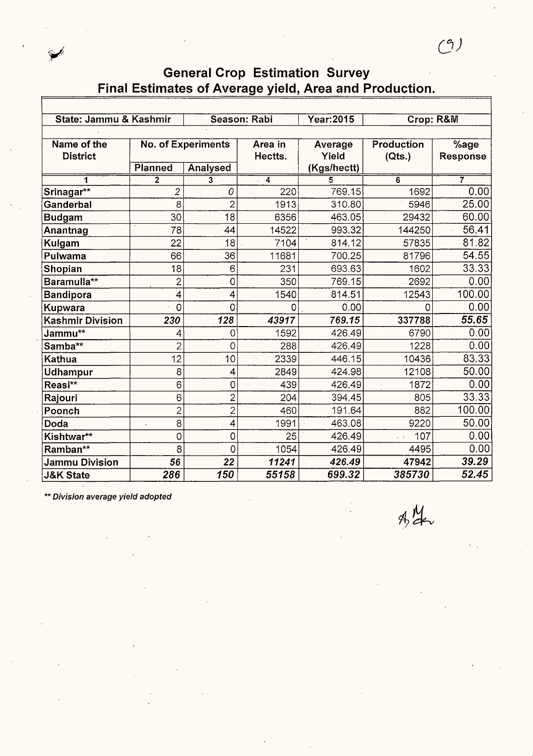| State: Jammu & Kashmir         |                 |                                       | Season: Rabi       | Year: 2015                      | Crop: R&M            |                  |
|--------------------------------|-----------------|---------------------------------------|--------------------|---------------------------------|----------------------|------------------|
| Name of the<br><b>District</b> | Planned         | <b>No. of Experiments</b><br>Analysed | Area in<br>Hectts. | Average<br>Yield<br>(Kgs/hectt) | Production<br>(Qts.) | %age<br>Response |
|                                | $\overline{2}$  | 3                                     | $\overline{4}$     |                                 | 6                    | 7                |
| Srinagar**                     | 2               | 0                                     | 220                | 769.15                          | 1692                 | 0.00             |
| Ganderbal                      | 8               | $\overline{2}$                        | 1913               | 310.80                          | 5946                 | 25.00            |
| <b>Budgam</b>                  | 30              | 18                                    | 6356               | 463.05                          | 29432                | 60.00            |
| Anantnag                       | 78              | 44                                    | 14522              | 993.32                          | 144250               | 56.41            |
| Kulgam                         | 22              | 18                                    | 7104               | 814.12                          | 57835                | 81.82            |
| Pulwama                        | 66              | 36                                    | 11681              | 700.25                          | 81796                | 54.55            |
| Shopian                        | 18              | 6                                     | 231                | 693.63                          | 1602                 | 33.33            |
| Baramulla**                    | $\overline{c}$  | 0                                     | 350                | 769.15                          | 2692                 | 0.00             |
| <b>Bandipora</b>               | 4               | 4                                     | 1540               | 814.51                          | 12543                | 100.00           |
| Kupwara                        | 0               | 0                                     | 0                  | 0.00                            | 0                    | 0.00             |
| <b>Kashmir Division</b>        | 230             | 128                                   | 43917              | 769.15                          | 337788               | 55.65            |
| Jammu**                        | 4               | 0                                     | 1592               | 426.49                          | 6790                 | 0.00             |
| Samba**                        | $\overline{c}$  | 0                                     | 288                | 426.49                          | 1228                 | 0.00             |
| Kathua                         | 12              | 10                                    | 2339               | 446.15                          | 10436                | 83.33            |
| <b>Udhampur</b>                | 8               | 4                                     | 2849               | 424.98                          | 12108                | 50.00            |
| Reasi**                        | 6               | 0                                     | 439                | 426.49                          | 1872                 | 0.00             |
| Rajouri                        | 6               | $\overline{c}$                        | 204                | 394.45                          | 805                  | 33.33            |
| Poonch                         | $\overline{c}$  | $\overline{2}$                        | 460                | 191.64                          | 882                  | 100.00           |
| Doda                           | 8<br>$\epsilon$ | 4                                     | 1991               | 463.08                          | 9220                 | 50.00            |
| Kishtwar**                     | 0               | 0                                     | 25                 | 426.49                          | 107<br>$\ddotsc$     | 0.00             |
| Ramban**                       | 8               | 0                                     | 1054               | 426.49                          | 4495                 | 0.00             |
| <b>Jammu Division</b>          | 56              | 22                                    | 11241              | 426.49                          | 47942                | 39.29            |
| <b>J&amp;K State</b>           | 286             | 150                                   | 55158              | 699.32                          | 385730               | 52.45            |

\*\* Division average yield adopted

 $A/M$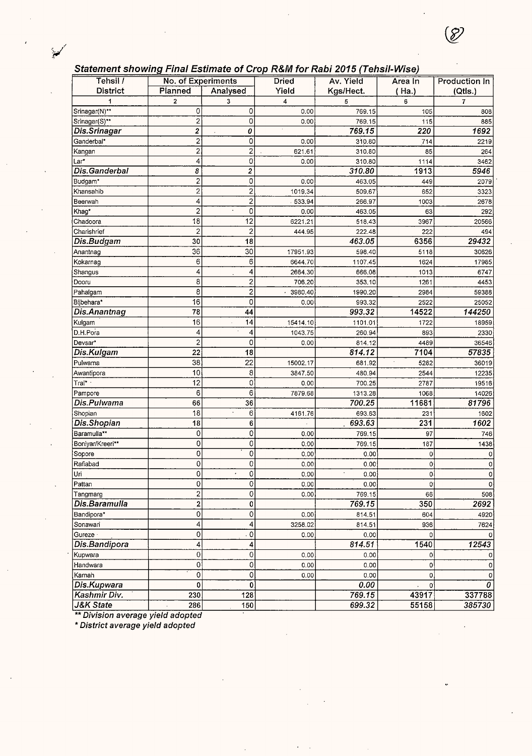#### **Statement showing Final Estimate of Crop R&M for Rabi 2015 (Tehsif-Wise)**

| Tehsil /             | .<br>No. of Experiments | ---------<br>$\cdot$ .  | $\frac{1}{2}$<br><b>Dried</b> | Av. Yield | Area In | <b>Production In</b> |
|----------------------|-------------------------|-------------------------|-------------------------------|-----------|---------|----------------------|
| <b>District</b>      | Planned                 | Analysed                | Yield                         | Kgs/Hect. | (Ha.)   | (Qtls.)              |
|                      | $\mathbf 2$             | 3                       | 4                             | 5         | 6       | $\overline{7}$       |
| Srinagar(N)**        | 0                       | 0                       | 0.00                          | 769.15    | 105     | 808                  |
| Srinagar(S)**        | $\overline{c}$          | 0                       | 0.00                          | 769.15    | 115     | 885                  |
| Dis.Srinagar         | $\overline{2}$          | 0                       |                               | 769.15    | 220     | 1692                 |
| Ganderbal*           | $\overline{\mathbf{c}}$ | 0                       | 0.00                          | 310.80    | 714     | 2219                 |
| Kangan               | $\overline{\mathbf{c}}$ | $\overline{c}$          | 621.61                        | 310.80    | 85      | 264                  |
| Lar*                 | 4                       | 0                       | 0.00                          | 310.80    | 1114    | 3462                 |
| Dis.Ganderbal        | 8                       | 2                       |                               | 310.80    | 1913    | 5946                 |
| Budgam*              | $\overline{\mathbf{c}}$ | 0                       | 0.00                          | 463.05    | 449     | 2079                 |
| Khansahib            | $\overline{2}$          | $\overline{\mathbf{c}}$ | 1019.34                       | 509.67    | 652     | 3323                 |
| Beerwah              | 4                       | $\overline{c}$          | 533.94                        | 266.97    | 1003    | 2678                 |
| Khag*                | $\overline{2}$          | 0<br>$\Delta$           | 0.00                          | 463.05    | 63      | 292                  |
| Chadoora             | 18                      | 12                      | 6221.21                       | 518.43    | 3967    | 20566                |
| Charishrief          | $\overline{\mathbf{c}}$ | $\overline{\mathbf{c}}$ | 444.95                        | 222.48    | 222     | 494                  |
| Dis.Budgam           | 30                      | 18                      |                               | 463.05    | 6356    | 29432                |
| Anantnag             | 36                      | 30                      | 17951.93                      | 598.40    | 5118    | 30626                |
| Kokarnag             | 6                       | 6                       | 6644.70                       | 1107.45   | 1624    | 17985                |
| Shangus              | 4                       | 4                       | 2664.30                       | 666.08    | 1013    | 6747                 |
| Dooru                | 8                       | $\overline{\mathbf{c}}$ | 706.20                        | 353.10    | 1261    | 4453                 |
| Pahalgam             | 8                       | $\overline{2}$          | 3980.40                       | 1990.20   | 2984    | 59388                |
| Bijbehara*           | 16                      | 0                       | 0.00                          | 993.32    | 2522    | 25052                |
| Dis.Anantnag         | 78                      | 44                      |                               | 993.32    | 14522   | 144250               |
| Kulgam               | 16                      | 14<br>ä,                | 15414.10                      | 1101.01   | 1722    | 18959                |
| D.H.Pora             | 4                       | 4                       | 1043.75                       | 260.94    | 893     | 2330                 |
| Devsar*              | $\boldsymbol{2}$        | 0                       | 0.00                          | 814.12    | 4489    | 36546                |
| Dis.Kulgam           | 22                      | 18                      |                               | 814.12    | 7104    | 57835                |
| Pulwama              | 38                      | $\overline{22}$         | 15002.17                      | 681.92    | 5282    | 36019                |
| Awantipora           | 10                      | 8                       | 3847.50                       | 480.94    | 2544    | 12235                |
| Tral* ·              | 12                      | 0                       | 0.00                          | 700.25    | 2787    | 19516                |
| Pampore              | 6                       | 6                       | 7879.68                       | 1313.28   | 1068    | 14026                |
| Dis.Pulwama          | 66                      | 36                      |                               | 700.25    | 11681   | 81796                |
| Shopian              | 18                      | 6                       | 4161.76                       | 693.63    | 231     | 1602                 |
| Dis.Shopian          | 18                      | 6                       |                               | 693.63    | 231     | 1602                 |
| Baramulla**          | $\mathbf 0$             | 0                       | 0.00                          | 769.15    | 97      | 746                  |
| Boniyar/Kreeri**     | $\mathsf{O}\xspace$     | 0                       | 0.00                          | 769.15    | 187     | 1438                 |
| Sopore               | $\circ$                 | 0                       | 0.00                          | 0.00      | 0       | 0                    |
| Rafiabad             | 0                       | 0                       | 0.00                          | 0.00      | 0       | 0                    |
| lūri                 | 0                       | $\overline{0}$          | 0.00                          | 0.00      | 0       | 0                    |
| Pattan               | 0                       | 0                       | 0.00                          | 0.00      | 0       | $\circ$              |
| Tangmarg             | $\overline{\mathbf{c}}$ | 0                       | 0.00                          | 769.15    | 66      | 508                  |
| Dis.Baramulla        | 2                       | 0                       |                               | 769.15    | 350     | 2692                 |
| Bandipora*           | $\mathsf{O}\xspace$     | 0                       | 0.00                          | 814.51    | 604     | 4920                 |
| Sonawari             | 4                       | 4                       | 3258.02                       | 814.51    | 936     | 7624                 |
| Gureze               | 0                       | 0                       | 0.00                          | 0.00      | 0       |                      |
| Dis.Bandipora        | 4                       | 4                       |                               | 814.51    | 1540    | 12543                |
| Kupwara              | $\mathsf{O}\xspace$     | 0                       | 0.00                          | 0.00      | 0       |                      |
| Handwara             | 0                       | 0                       | 0.00                          | 0.00      | 0       | 0                    |
| Karnah               | 0                       | 0                       | 0.00                          | 0.00      | 0       | 0                    |
| Dis.Kupwara          | 0                       | 0                       |                               | 0.00      | 0       | 0                    |
| Kashmir Div.         | 230                     | 128                     |                               | 769.15    | 43917   | 337788               |
| <b>J&amp;K State</b> | 286                     | 150                     |                               | 699.32    | 55158   | 385730               |

\*\* Division average yield adopted

\* District average yield adopted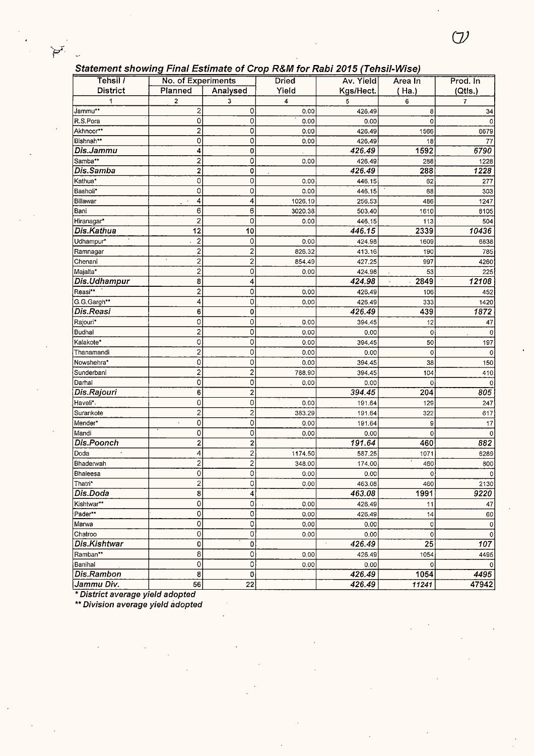#### **Statement showing Final Estimate of Crop R&M for Rabi 2015 (Tehsil-Wise)**

| Tehsil /          | .<br>No. of Experiments |                         | . <i>.</i><br><b>Dried</b> | ----------- <i>-----</i><br>Av. Yield | Area In     | Prod. In         |
|-------------------|-------------------------|-------------------------|----------------------------|---------------------------------------|-------------|------------------|
| <b>District</b>   | Planned                 | Analysed                | Yield                      | Kgs/Hect.                             | (Ha.)       | (Qtls.)          |
|                   | $\overline{\mathbf{c}}$ | 3                       | 4                          | 5                                     | 6           | $\overline{7}$   |
| Jammu**           | 2                       | 0                       | 0,00                       | 426.49                                | 8           | 34               |
| R.S.Pora          | 0                       | $\circ$                 | 0.00                       | 0.00                                  | 0           | 0                |
| Akhnoor**         | $\overline{\mathbf{c}}$ | 0                       | 0:00                       | 426.49                                | 1566        | 6679             |
| Bishnah**         | 0                       | 0                       | 0.00                       | 426.49                                | 18          | 77               |
| Dis.Jammu         | $\overline{\mathbf{4}}$ | 0                       |                            | 426.49                                | 1592        | 6790             |
| Samba**           | 2                       | 0                       | 0.00                       | 426.49                                | 288         | 1228             |
| Dis.Samba         | $\overline{\mathbf{c}}$ | 0                       |                            | 426.49                                | 288         | 1228             |
| Kathua*           | 0                       | 0                       | 0.00                       | 446.15                                | 62          | 277              |
| Basholi*          | 0                       | 0                       | 0.00                       | 446.15                                | 68          | 303              |
| Billawar          | 4                       | 4                       | 1026.10                    | 256.53                                | 486         | 1247             |
| Bani              | 6                       | 6                       | 3020.38                    | 503.40                                | 1610        | 8105             |
| Hiranagar*        | $\overline{c}$          | 0                       | 0.00                       | 446.15                                | 113         | 504              |
| <b>Dis.Kathua</b> | 12                      | 10                      |                            | 446.15                                | 2339        | 10436            |
| Udhampur*         | $\overline{c}$          | 0                       | 0.00                       | 424.98                                | 1609        | 6838             |
| Ramnagar          | $\overline{\mathbf{c}}$ | 2                       | 826.32                     | 413.16                                | 190         | 785              |
| Chenani           | $\overline{2}$          | $\overline{2}$          | 854.49                     | 427,25                                | 997         | 4260             |
| Majalta*          | $\overline{2}$          | 0                       | 0.00                       | 424,98                                | 53          | 225              |
| Dis.Udhampur      | 8                       | 4                       |                            | 424.98                                | 2849        | 12108            |
| Reasi**           | $\overline{c}$          | 0                       | 0.00                       | 426.49                                | 106         | 452              |
| G.G.Gargh**       | 4                       | $\circ$                 | 0.00                       | 426.49                                | 333         | 1420             |
| Dis.Reasi         | 6                       | 0                       |                            | 426.49                                | 439         | 1872             |
| Rajouri*          | 0                       | 0                       | 0.00                       | 394.45                                | 12          | 47               |
| Budhal            | $\overline{\mathbf{c}}$ | 0                       | 0.00                       | 0.00                                  | 0           | 0                |
| Kalakote*         | 0                       | 0                       | 0.00                       | 394.45                                | 50          | 197              |
| Thanamandi        | $\overline{c}$          | 0                       | 0.00                       | 0.00                                  | 0           | 0                |
| Nowshehra*        | 0                       | 0                       | 0.00                       | 394.45                                | 38          | 150              |
| Sunderbani        | $\overline{c}$          | 2                       | 788.90                     | 394.45                                | 104         | 410              |
| Darhal            | $\overline{0}$          | 0                       | 0,00                       | 0.00                                  | 0           |                  |
| Dis.Rajouri       | 6                       | $\overline{c}$          |                            | 394.45                                | 204         | 805              |
| Haveli*.          | 0                       | 0                       | 0.00                       | 191.64                                | 129         | 247              |
| Surankote         | $\mathbf 2$             | 2                       | 383.29                     | 191.64                                | 322         | 617              |
| Mender*           | 0<br>$\cdot$            | 0                       | 0.00                       | 191.64                                | 9           | 17               |
| Mandi             | 0                       | 0                       | 0.00                       | 0.00                                  | 0           | $\mathbf 0$      |
| Dis.Poonch        | $\overline{\mathbf{c}}$ | 2                       |                            | 191.64                                | 460         | 882              |
| Doda              | 4                       | 2                       | 1174.50                    | 587.25                                | 1071        | 6289             |
| Bhaderwah         | $\overline{2}$          | $\overline{\mathbf{c}}$ | 348.00                     | 174.00                                | 460         | 800              |
| Bhaleesa          | 0                       | $\mathsf{o}$            | $0.00\,$                   | 0.00                                  | 0           | $\Omega$         |
| Thatri*           | $\overline{\mathbf{c}}$ | 0                       | 0.00                       | 463.08                                | 460         | 2130             |
| Dis.Doda          | 8                       | 4                       |                            | 463.08                                | 1991        | 9220             |
| Kishtwar**        | 0                       | 0                       | 0.00                       | 426.49                                | 11          | 47               |
| Pader**           | 0                       | 0                       | 0.00                       | 426.49                                | 14          | 60               |
| Marwa             | 0                       | 0                       | 0.00                       | 0.00                                  | 0           | 0                |
| Chatroo           | 0                       | 0                       | 0.00                       | 0.00                                  | $\mathbf 0$ | $\mathbf 0$      |
| Dis.Kishtwar      | 0                       | 0                       |                            | 426.49                                | 25          | $\overline{107}$ |
| Ramban**          | 8                       | 0                       | 0.00                       | 426.49                                | 1054        | 4495             |
| Banihal           | 0                       | 0                       | 0.00                       | 0.00                                  | 0           | $\Omega$         |
| Dis.Rambon        | 8                       | 0                       |                            | 426.49                                | 1054        | 4495             |
| Jammu Div.        | 56                      | 22                      |                            | 426.49                                | 11241       | 47942            |

\* **District average yield adopted** 

 $\sum_{i=1}^{n}$ 

J.

\*\* **Division average yield adopted**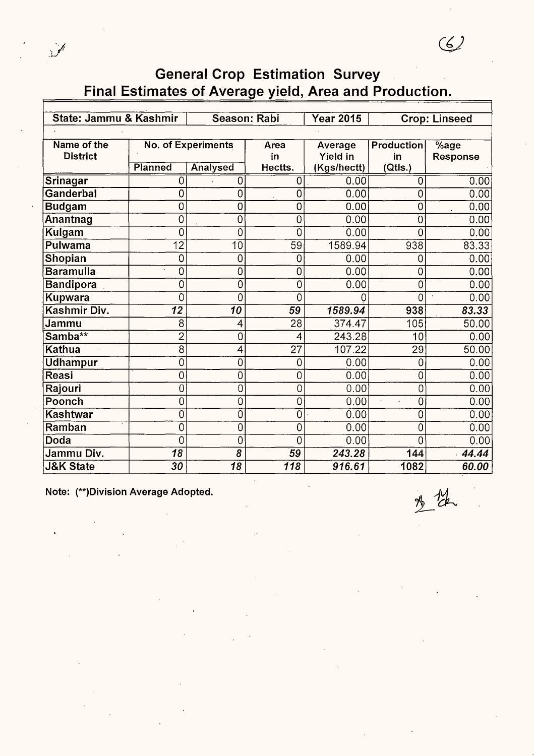| State: Jammu & Kashmir |                |                           | Season: Rabi    | <b>Year 2015</b> |                   | <b>Crop: Linseed</b> |
|------------------------|----------------|---------------------------|-----------------|------------------|-------------------|----------------------|
|                        |                |                           |                 |                  |                   |                      |
| Name of the            |                | <b>No. of Experiments</b> | Area            | Average          | <b>Production</b> | $%$ age              |
| <b>District</b>        |                |                           | in              | <b>Yield in</b>  | in                | Response             |
|                        | Planned        | Analysed                  | Hectts.         | (Kgs/hectt)      | (Qtls.)           |                      |
| Srinagar               | 0              | $\mathbf 0$               | 0               | 0.00             | 0                 | 0.00                 |
| Ganderbal              | 0              | $\overline{0}$            | 0               | 0.00             | Ó                 | 0.00                 |
| <b>Budgam</b>          | 0              | Ò                         | 0               | 0.00             | 0                 | 0.00                 |
| Anantnag               | 0              | 0                         | 0               | 0.00             | 0                 | 0.00                 |
| Kulgam                 | 0              | 0                         | 0               | 0.00             | 0                 | 0.00                 |
| Pulwama                | 12             | 10                        | 59              | 1589.94          | 938               | 83.33                |
| Shopian                | 0              | $\overline{0}$            | 0               | 0.00             | 0                 | 0.00                 |
| <b>Baramulla</b>       | 0              | 0                         | 0               | 0.00             | 0                 | 0.00                 |
| <b>Bandipora</b>       | 0              | 0                         | 0               | 0.00             | 0                 | 0.00                 |
| Kupwara                | 0              | 0                         | 0               | Ω                | 0                 | 0.00                 |
| Kashmir Div.           | 12             | 10                        | 59              | 1589.94          | 938               | 83.33                |
| <b>Jammu</b>           | 8              | 4                         | 28              | 374.47           | 105               | 50.00                |
| Samba**                | $\overline{2}$ | 0                         | 4               | 243.28           | 10                | 0.00                 |
| Kathua                 | $\overline{8}$ | 4                         | $\overline{27}$ | 107.22           | $\overline{29}$   | 50.00                |
| <b>Udhampur</b>        | 0              | 0                         | 0               | 0.00             | 0                 | 0.00                 |
| Reasi                  | 0              | 0                         | 0               | 0.00             | 0                 | 0.00                 |
| Rajouri                | 0              | 0                         | 0               | 0.00             | 0                 | 0.00                 |
| Poonch                 | 0              | 0                         | 0               | 0.00             | 0                 | 0.00                 |
| Kashtwar               | 0              | 0                         | $\overline{0}$  | 0.00             | 0                 | 0.00                 |
| <b>Ramban</b>          | 0              | 0                         | 0               | 0.00             | 0                 | 0.00                 |
| Doda                   | 0              | 0                         | 0               | 0.00             | 0                 | 0.00                 |
| Jammu Div.             | 18             | 8                         | 59              | 243.28           | 144               | 44.44                |
| <b>J&amp;K State</b>   | 30             | 18                        | 118             | 916.61           | 1082              | 60.00                |

**Note: (\*\*)Division Average Adopted.** 

 $\ddot{\phantom{a}}$ 

Å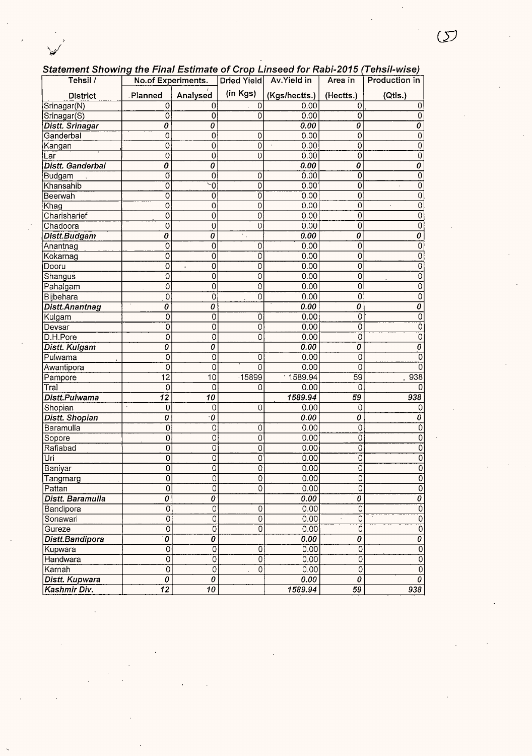|  | Statement Showing the Final Estimate of Crop Linseed for Rabi-2015 (Tehsil-wise) |
|--|----------------------------------------------------------------------------------|
|  |                                                                                  |

| Tehsil /                | No.of Experiments.               |                                  | <b>Dried Yield</b>          | Av.Yield in   | Area in                   | Production in                    |
|-------------------------|----------------------------------|----------------------------------|-----------------------------|---------------|---------------------------|----------------------------------|
| <b>District</b>         | Planned                          | Analysed                         | (in Kgs)                    | (Kgs/hectts.) | (Hectts.)                 | (Qtls.)                          |
| Srinagar(N)             | $\overline{0}$                   | 0                                | 0                           | 0.00          | 0                         | 0                                |
| Srinagar(S)             | $\mathbf 0$                      | $\mathbf 0$                      | $\overline{0}$              | 0.00          | ō                         | 0                                |
| Distt. Srinagar         | 0                                | 0                                |                             | 0.00          | 0                         | 0                                |
| Ganderbal               | 0                                | 0                                | 0                           | 0.00          | $\overline{\mathfrak{o}}$ | 0                                |
| Kangan                  | $\overline{0}$                   | 0                                | $\overline{0}$              | 0.00          | 0                         | Ō                                |
| Lar                     | $\overline{\mathfrak{o}}$        | $\overline{\mathfrak{o}}$        | $\overline{0}$              | 0.00          | 0                         | $\overline{0}$                   |
| <b>Distt. Ganderbal</b> | $\overline{o}$                   | $\overline{o}$                   |                             | 0.00          | Ō                         | 0                                |
| Budgam                  | $\overline{0}$                   | $\overline{0}$                   | 0                           | 0.00          | $\overline{0}$            | 0                                |
| Khansahib               | ō                                | $\overline{\circ}$               | $\overline{0}$              | 0.00          | 0                         | $\overline{0}$<br>$\cdot$        |
| Beerwah                 | $\overline{0}$                   | 0                                | 0                           | 0.00          | 0                         | 0                                |
| Khag                    | 0                                | 0                                | 0                           | 0.00          | 0                         | 0<br>$\cdot$                     |
| Charisharief            | $\overline{0}$                   | 0                                | 0                           | 0.00          | $\overline{0}$            | $\overline{O}$                   |
| Chadoora                | $\overline{\mathfrak{o}}$        | $\overline{0}$                   | $\overline{\mathfrak{o}}$   | 0.00          | Ō                         | $\overline{0}$                   |
| Distt.Budgam            | $\overline{o}$                   | 0                                | $\mathcal{C}_{\mathcal{A}}$ | 0.00          | $\overline{o}$            | $\overline{o}$                   |
| Anantnag                | $\overline{\mathfrak{o}}$        | 0                                | 0                           | 0.00          | 0                         | $\overline{0}$                   |
| Kokarnag                | $\overline{0}$                   | ō                                | $\overline{0}$              | 0.00          | 0                         | 0                                |
| Dooru                   | $\overline{0}$                   | $\overline{0}$<br>ä,             | $\overline{0}$              | 0.00          | 0                         | $\overline{0}$                   |
| Shangus                 | Ö                                | 0                                | 0                           | 0.00          | 0                         | $\overline{0}$                   |
| Pahalgam                | 0                                | 0                                | 0                           | 0.00          | $\overline{0}$            | $\overline{0}$                   |
| Bijbehara               | 0                                | 0                                | 0                           | 0.00          | $\overline{0}$            | $\overline{0}$                   |
| <b>Distt.Anantnag</b>   | 0                                | 0                                |                             | 0.00          | $\overline{o}$            | $\overline{o}$                   |
| Kulgam                  | $\overline{0}$                   | 0                                | 0                           | 0.00          | $\overline{0}$            | $\overline{0}$                   |
| Devsar                  | 0                                | 0                                | 0                           | 0.00          | ō                         | Ō                                |
| D.H.Pore                | $\overline{0}$                   | 0                                | 0                           | 0.00          | 0                         | $\overline{0}$                   |
| Distt. Kulgam           | 0                                | 0                                |                             | 0.00          | $\overline{o}$            | $\overline{\boldsymbol{\theta}}$ |
| Pulwama                 | 0                                | 0                                | 0                           | 0.00          | Ō                         | $\overline{0}$                   |
| Awantipora              | 0                                | 0                                | 0                           | 0.00          | 0                         | 0                                |
| Pampore                 | $\overline{12}$                  | 10                               | $-15899$                    | 1589.94       | 59                        | 938                              |
| Tral                    | 0                                | 0                                | 0                           | 0.00          | 0                         | 0                                |
| Distt.Pulwama           | $\overline{12}$                  | $\overline{10}$                  |                             | 1589.94       | 59                        | $\overline{938}$                 |
| Shopian                 | $\blacksquare$<br>0              | 0                                | 0                           | 0.00          | 0                         | 0                                |
| <b>Distt. Shopian</b>   | $\overline{o}$                   | $\dot{0}$                        |                             | 0.00          | 0                         | $\overline{o}$                   |
| Baramulla               | 0                                | $\overline{0}$                   | 0                           | 0.00          | $\overline{0}$            | $\overline{0}$                   |
| Sopore                  | 0                                | $\overline{0}$                   | 0                           | 0.00          | $\overline{0}$            | $\overline{0}$                   |
| Rafiabad                | 0                                | 0                                | 0                           | 0.00          | $\overline{0}$            | $\overline{0}$                   |
| Uri                     | 0                                | 0                                | 0                           | 0.00          | $\overline{0}$            | $\overline{0}$                   |
| Baniyar                 | 0                                | $\overline{0}$                   | 0                           | 0.00          | $\overline{\mathfrak{o}}$ | $\overline{0}$                   |
| Tangmarg                | U                                | υ                                | v                           | 0.00          | $\overline{0}$            | $\overline{0}$                   |
| Pattan                  | 0                                | $\overline{0}$                   | 0                           | 0.00          | $\overline{\mathfrak{o}}$ | $\overline{0}$                   |
| Distt. Baramulla        | $\overline{\boldsymbol{\theta}}$ | $\overline{\boldsymbol{\theta}}$ |                             | 0.00          | $\overline{o}$            | $\overline{\mathfrak{o}}$        |
| Bandipora               | $\overline{0}$                   | $\overline{0}$                   | 0                           | 0.00          | 0                         | $\overline{0}$                   |
| Sonawari                | $\overline{0}$                   | $\overline{0}$                   | $\overline{0}$              | 0.00          | $\overline{0}$            | $\overline{0}$                   |
| Gureze                  | $\overline{0}$                   | 0                                | 0                           | 0.00          | 0                         | $\overline{0}$                   |
| Distt.Bandipora         | $\overline{o}$                   | 0                                |                             | 0.00          | 0                         | 0                                |
| Kupwara                 | $\overline{0}$                   | $\overline{0}$                   | 0                           | 0.00          | 0                         | $\mathbf{O}$                     |
| Handwara                | $\overline{0}$                   | $\overline{0}$                   | $\overline{\mathfrak{o}}$   | 0.00          | $\overline{0}$            | $\overline{0}$                   |
| Karnah                  | $\overline{0}$                   | $\mathbf 0$                      | 0                           | 0.00          | $\overline{0}$            | $\overline{0}$                   |
| Distt. Kupwara          | $\overline{o}$                   | $\overline{\boldsymbol{\theta}}$ |                             | 0.00          | 0                         | 0                                |
| Kashmir Div.            | $\overline{12}$                  | $\overline{10}$                  |                             | 1589.94       | 59                        | 938                              |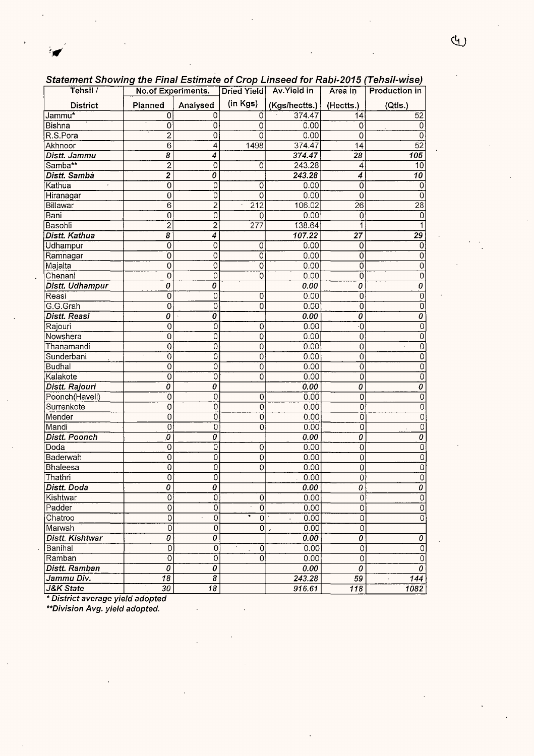| Underlight Onowing the Final Louinate of Grop Linseed for Rabi-2019 (Tensir-Wise) |                |                             |                           |                          |                                  |                                                   |
|-----------------------------------------------------------------------------------|----------------|-----------------------------|---------------------------|--------------------------|----------------------------------|---------------------------------------------------|
| Tehsil /                                                                          |                | No.of Experiments.          |                           | Dried Yield Av. Yield in | Area in                          | <b>Production in</b>                              |
| <b>District</b>                                                                   | Planned        | Analysed                    | (in Kgs)                  | (Kgs/hectts.)            | (Hectts.)                        | (Qtis.)                                           |
| Jammu <sup>*</sup>                                                                | 0              | 0                           | 0                         | 374.47                   | 14                               | 52                                                |
| Bishna                                                                            | 0              | 0                           | 0                         | 0.00                     | 0                                | 0                                                 |
| R.S.Pora                                                                          | $\overline{2}$ | 0                           | $\mathbf 0$               | 0.00                     | 0                                | 0                                                 |
| Akhnoor                                                                           | $\overline{6}$ | 4                           | 1498                      | 374.47                   | 14                               | 52                                                |
| Distt. Jammu                                                                      | 8              | 4                           |                           | 374.47                   | $\overline{28}$                  | $\overline{105}$                                  |
| Samba**                                                                           | $\overline{2}$ | 0                           | 0                         | 243.28                   | 4                                | 10                                                |
| Distt. Samba                                                                      | $\overline{2}$ | 0                           |                           | 243.28                   | 4                                | $\overline{10}$                                   |
| Kathua<br>$\alpha$                                                                | Ö              | 0                           | 0                         | 0.00                     | 0                                | 0                                                 |
| Hiranagar                                                                         | 0              | 0                           | 0                         | 0.00                     | 0                                | 0                                                 |
| Billawar                                                                          | $\overline{6}$ | $\overline{2}$              | $\overline{212}$          | 106.02                   | $\overline{26}$                  | $\overline{28}$                                   |
| Bani                                                                              | $\overline{0}$ | $\overline{0}$              | 0                         | 0.00                     | 0                                | $\vert$ 0                                         |
| <b>Basohli</b>                                                                    | $\overline{2}$ | $\overline{2}$              | $\overline{277}$          | 138.64                   | 1                                |                                                   |
| <b>Distt. Kathua</b>                                                              | $\overline{s}$ | 4                           |                           | 107.22                   | $\overline{27}$                  | $\overline{29}$                                   |
| Udhampur                                                                          | $\overline{0}$ | 0                           | $\overline{0}$            | 0.00                     | 0                                | $\Omega$                                          |
| Ramnagar                                                                          | O              | 0                           | $\overline{0}$            | 0.00                     | 0                                | 0                                                 |
| Majalta                                                                           | 0              | 0                           | $\overline{O}$            | 0.00                     | $\overline{0}$                   | 0                                                 |
| Chenani                                                                           | $\overline{0}$ | 0                           | ō                         | 0.00                     | ō                                | 0                                                 |
| Distt. Udhampur                                                                   | $\overline{o}$ | ō                           |                           | 0.00                     | $\overline{\boldsymbol{\theta}}$ | $\overline{\boldsymbol{\theta}}$                  |
| Reasi                                                                             | $\overline{0}$ | 0                           | 0                         | 0.00                     | $\overline{0}$                   | $\overline{0}$                                    |
| G.G.Grah                                                                          | $\overline{0}$ | 0                           | $\overline{0}$            | 0.00                     | $\overline{0}$                   | $\overline{0}$                                    |
| <b>Distt. Reasi</b>                                                               | 0              | 0                           |                           | 0.00                     | $\overline{\boldsymbol{\theta}}$ | $\overline{o}$                                    |
| Rajouri                                                                           | $\circ$        | 0                           | $\overline{0}$            | 0.00                     | ۰O                               | $\overline{0}$                                    |
| Nowshera                                                                          | 0              | 0                           | 0                         | 0.00                     | 0                                | $\overline{0}$                                    |
| Thanamandi                                                                        | 0              | 0                           | 0                         | 0.00                     | 0                                | $\overline{0}$<br>$\ddot{\phantom{a}}$            |
| Sunderbani                                                                        | 0              | $\overline{0}$              | 0                         | 0.00                     | 0                                | $\overline{0}$                                    |
| Budhal                                                                            | $\overline{0}$ | $\overline{0}$              | $\overline{0}$            | 0.00                     | $\overline{0}$                   | $\overline{0}$                                    |
| Kalakote                                                                          | $\overline{0}$ | $\overline{0}$              | $\overline{0}$            | 0.00                     | $\overline{0}$                   | $\overline{0}$                                    |
| Distt. Rajouri                                                                    | $\overline{o}$ | 0                           |                           | 0.00                     | $\overline{o}$                   | 0                                                 |
| Poonch(Haveli)                                                                    | $\overline{0}$ | 0                           | $\mathbf 0$               | 0.00                     | 0                                | $\overline{0}$                                    |
| Surrenkote                                                                        | $\mathbf 0$    | 0                           | $\overline{0}$            | 0.00                     | 0                                | $\overline{0}$                                    |
| Mender                                                                            | 0              | 0                           | $\overline{0}$            | 0.00                     | $\overline{0}$                   | $\overline{0}$                                    |
| Mandi                                                                             | $\overline{0}$ | 0                           | $\overline{0}$            | 0.00                     | 0                                | $\overline{0}$                                    |
| <b>Distt. Poonch</b>                                                              | 0,             | 0                           |                           | 0.00                     | $\overline{o}$                   | 0                                                 |
| Doda                                                                              | $\overline{0}$ | $\overline{0}$              | 0                         | 0.00                     | $\overline{0}$                   | 0                                                 |
| Baderwah                                                                          | $\overline{0}$ | 0                           | $\overline{0}$            | 0.00                     | $\overline{0}$                   | $\overline{0}$                                    |
| Bhaleesa                                                                          | 0              | 0                           | $\overline{0}$            | 0.00                     | 0                                | $\overline{0}$                                    |
| Thathri                                                                           | Ō              | 0                           |                           | 0.00                     | 0                                | 0                                                 |
| Distt. Doda                                                                       | 0              | 0                           |                           | 0.00                     | 0                                | 0                                                 |
| Kishtwar                                                                          | $\overline{0}$ | 0                           | $\mathbf 0$               | 0.00                     | $\overline{0}$                   | $\overline{0}$                                    |
| Padder                                                                            | $\overline{0}$ | 0                           | $\overline{0}$<br>$\star$ | 0.00                     | 0                                | $\overline{0}$                                    |
| Chatroo                                                                           | 0              | 0                           | 0                         | 0.00                     | $\overline{0}$                   | 0                                                 |
| Marwah                                                                            | $\overline{0}$ | 0                           | 0                         | 0.00<br>$\epsilon$       | $\overline{0}$                   |                                                   |
| Distt. Kishtwar                                                                   | $\overline{o}$ | $\overline{o}$              |                           | 0.00                     | $\overline{o}$                   | 0                                                 |
| Banihal                                                                           | 0              | 0                           | 0                         | 0.00                     | $\overline{0}$                   | $\overline{0}$                                    |
| Ramban                                                                            | $\overline{0}$ | 0                           | $\Omega$                  | 0.00                     | $\overline{0}$                   | $\overline{0}$                                    |
| <b>Distt. Ramban</b>                                                              | 0              | 0                           |                           | 0.00                     | 0                                | $\overline{\boldsymbol{\theta}}$                  |
| Jammu Div.                                                                        | 18             | $\overline{\boldsymbol{g}}$ |                           | 243.28                   | $\overline{59}$                  | $\overline{144}$<br>$\hat{\boldsymbol{\epsilon}}$ |
| J&K State                                                                         | 30             | 18                          |                           | 916.61                   | 118                              | 1082                                              |

Statement Showing the Final Estimate of Crop Linseed for Rabi-2015 (Tehsil-wise)

\* District average yield adopted

÷ø

\*\*Division Avg. yield adopted.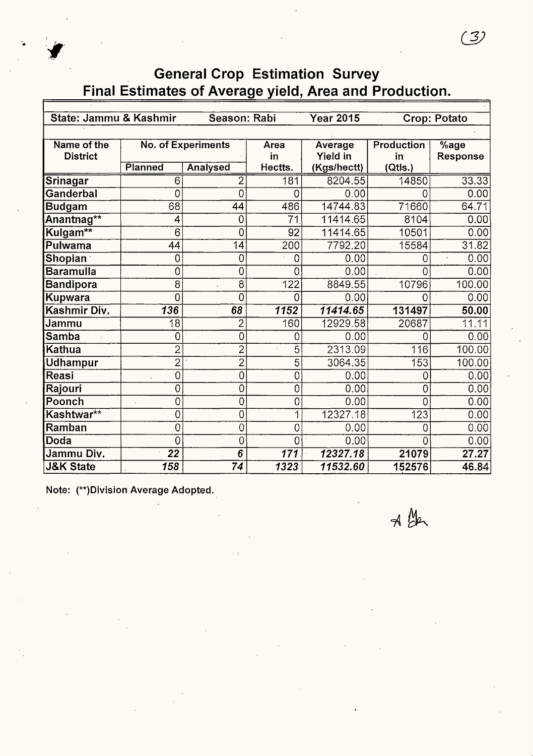

| State: Jammu & Kashmir |                  | Season: Rabi              |                  | <b>Year 2015</b> |                   | Crop: Potato             |
|------------------------|------------------|---------------------------|------------------|------------------|-------------------|--------------------------|
|                        |                  |                           |                  |                  |                   |                          |
| Name of the            |                  | <b>No. of Experiments</b> | Area             | Average          | <b>Production</b> | $\sqrt[6]{\mathsf{age}}$ |
| <b>District</b>        |                  |                           | in               | Yield in         | in                | Response                 |
|                        | Planned          | <b>Analysed</b>           | Hectts.          | (Kgs/hectt)      | (Qtls.)           |                          |
| Srinagar               | $\overline{6}$   | $\overline{2}$            | 181              | 8204.55          | 14850             | 33.33                    |
| Ganderbal              | 0                | 0                         | 0                | 0.00             | 0                 | 0.00                     |
| <b>Budgam</b>          | 68               | 44                        | 486              | 14744.83         | 71660             | 64.71                    |
| Anantnag**             | 4                | $\overline{0}$            | $\overline{71}$  | 11414.65         | 8104              | 0.00                     |
| Kulgam**               | 6                | 0                         | 92               | 11414.65         | 10501             | 0.00                     |
| Pulwama                | 44               | 14                        | 200              | 7792.20          | 15584             | 31.82                    |
| <b>Shopian</b>         | 0                | $\overline{0}$            | 0                | 0.00             | 0                 | 0.00                     |
| <b>Baramulla</b>       | 0                | $\overline{0}$            | 0                | 0.00             | 0                 | 0.00                     |
| <b>Bandipora</b>       | 8                | $\overline{8}$            | $\overline{122}$ | 8849.55          | 10796             | 100.00                   |
| <b>Kupwara</b>         | 0                | 0                         | 0                | 0.00             | 0                 | 0.00                     |
| Kashmir Div.           | $\overline{136}$ | 68                        | 1152             | 11414.65         | 131497            | 50.00                    |
| Jammu                  | $\overline{18}$  | $\overline{2}$            | 160              | 12929.58         | 20687             | 11.11                    |
| <b>Samba</b>           | 0                | 0                         | 0                | 0.00             | 0                 | 0.00                     |
| <b>Kathua</b>          | $\overline{2}$   | $\overline{c}$            | 5                | 2313.09          | 116               | 100.00                   |
| <b>Udhampur</b>        | $\overline{2}$   | $\overline{2}$            | 5                | 3064.35          | 153               | 100.00                   |
| Reasi                  | 0                | 0                         | 0                | 0.00             | 0                 | 0.00                     |
| Rajouri                | 0                | 0                         | 0                | 0.00             | 0                 | 0.00                     |
| Poonch                 | 0                | 0                         | 0                | 0.00             | 0                 | 0.00                     |
| Kashtwar**             | 0                | 0                         | 1                | 12327.18         | 123               | 0.00                     |
| Ramban                 | 0                | 0                         | 0                | 0.00             | 0                 | 0.00                     |
| <b>Doda</b>            | 0                | 0                         | 0                | 0.00             | N                 | 0.00                     |
| Jammu Div.             | $\overline{22}$  | 6                         | 171              | 12327.18         | 21079             | $\overline{27.27}$       |
| <b>J&amp;K State</b>   | 158              | $\overline{74}$           | 1323             | 11532.60         | 152576            | 46.84                    |

Note: (\*\*)Division Average Adopted.

 $\n *A BA*\n$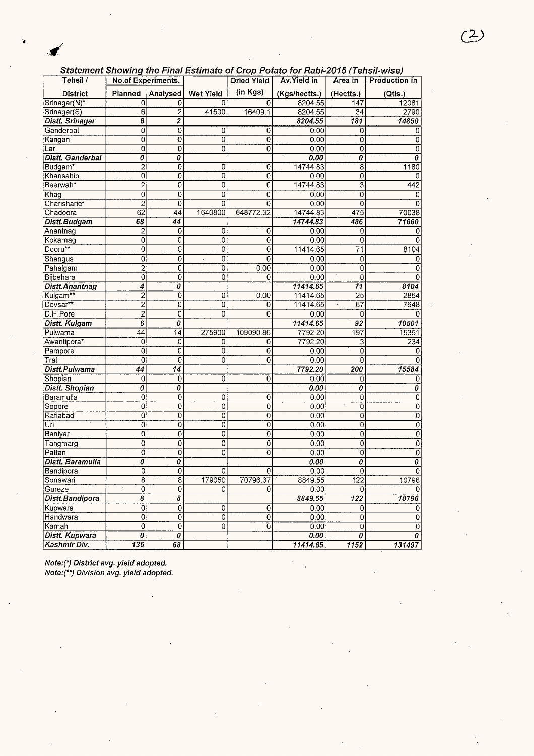#### Statement Showing the Final Estimate of Crop Potato for Rabi-2015 (Tehsil-wise)

|                       |                                        |                           |                  |                    | Statement Snowing the Final Estimate of Crop Potato for Rabi-2015 (Tensil-Wise) |                  |                           |
|-----------------------|----------------------------------------|---------------------------|------------------|--------------------|---------------------------------------------------------------------------------|------------------|---------------------------|
| Tehsil /              | No.of Experiments.                     |                           |                  | <b>Dried Yield</b> | Av.Yield in                                                                     | Area in          | Production in             |
| <b>District</b>       | Planned                                | Analysed                  | <b>Wet Yield</b> | (in Kgs)           | (Kgs/hectts.)                                                                   | (Hectts.)        | (Qtls.)                   |
| Srinagar(N)*          | 0                                      | 0                         | 0                | 0                  | 8204.55                                                                         | 147              | 12061                     |
| Srinagar(S)           | 6                                      | $\overline{2}$            | 41500            | 16409.1            | 8204.55                                                                         | 34               | 2790                      |
| Distt. Srinagar       | 6                                      | $\boldsymbol{2}$          |                  |                    | 8204.55                                                                         | 181              | 14850                     |
| Ganderbal             | 0                                      | 0                         | 0                | 0                  | 0.00                                                                            | 0                | 0                         |
| Kangan                | 0                                      | $\overline{\mathfrak{o}}$ | 0                | 0                  | 0.00                                                                            | 0                | 0                         |
| Lar                   | 0                                      | 0                         | 0                | 0                  | 0.00                                                                            | $\mathbf 0$      | 0                         |
| Distt. Ganderbal      | 0                                      | 0                         |                  |                    | 0.00                                                                            | 0                | 0                         |
| Budgam*               | $\overline{2}$                         | 0                         | 0                | 0                  | 14744.83                                                                        | $\overline{8}$   | 1180                      |
| Khansahib             | Ò                                      | 0                         | 0                | $\overline{0}$     | 0.00                                                                            | 0                | 0                         |
| Beerwah <sup>*</sup>  | $\overline{c}$                         | 0                         | 0                | $\overline{0}$     | 14744.83                                                                        | 3                | 442                       |
| Khag                  | 0                                      | 0                         | $\overline{0}$   | 0                  | 0.00                                                                            | 0                | 0                         |
| Charisharief          | $\overline{2}$                         | $\overline{0}$            | 0                | 0                  | 0.00                                                                            | $\overline{O}$   | $\Omega$                  |
| Chadoora              | 62                                     | 44                        | 1640800          | 648772.32          | 14744.83                                                                        | 475              | 70038                     |
| Distt.Budgam          | 68                                     | 44                        |                  |                    | 14744.83                                                                        | 486              | 71660                     |
| Anantnag              | 2                                      | 0                         | 0                | 0                  | 0.00                                                                            | 0                | 0                         |
| Kokarnag              | 0                                      | 0                         | 0                | 0                  | 0.00                                                                            | 0                | $\Omega$                  |
| Dooru**               | 0                                      | 0                         | 0                | $\mathbf 0$        | 11414.65                                                                        | 71               | 8104                      |
| Shangus               | 0                                      | 0                         | $\mathbf 0$      | 0                  | 0.00                                                                            | 0                | 0                         |
| Pahalgam              | $\overline{2}$                         | ō                         | 0                | 0.00               | 0.00                                                                            | 0                | 0                         |
| <b>Bijbehara</b>      | 0                                      | 0                         | 0                | 0                  | 0.00                                                                            | 0                | 0                         |
| Distt.Anantnag        | 4                                      | $\boldsymbol{\theta}$     |                  |                    | 11414.65                                                                        | 71               | 8104                      |
| Kulgam**              | $\overline{2}$                         | 0                         | 0                | 0.00               | 11414.65                                                                        | 25               | 2854                      |
| Devsar**              | $\overline{c}$                         | 0                         | 0                | 0                  | 11414.65                                                                        | 67<br>$\epsilon$ | 7648                      |
| D.H.Pore              | 2                                      | 0                         | 0                | 0                  | 0.00                                                                            | 0                | 0                         |
| <b>Distt. Kulgam</b>  | 6                                      | 0                         |                  |                    | 11414.65                                                                        | 92               | 10501                     |
| Pulwama               | 44                                     | 14                        | 275900           | 109090.86          | 7792.20                                                                         | 197              | 15351                     |
| Awantipora*           | 0                                      | 0                         | 0                | 0                  | 7792.20                                                                         | 3                | 234                       |
| Pampore               | 0                                      | 0                         | 0                | 0                  | 0.00                                                                            | 0                | 0                         |
| Tral                  | $\overline{0}$                         | ō                         | 0                | $\overline{0}$     | 0.00                                                                            | 0                |                           |
| Distt.Pulwama         | 44                                     | 14                        |                  |                    | 7792.20                                                                         | 200              | 15584                     |
| Shopian               | 0                                      | $\overline{0}$            | 0                | $\overline{0}$     | 0.00                                                                            | 0                | 0                         |
| <b>Distt. Shopian</b> | 0                                      | 0                         |                  |                    | 0.00                                                                            | 0                | 0                         |
| Baramulla             | 0                                      | $\overline{0}$            | 0                | 0                  | 0.00                                                                            | Ō                | 0                         |
| Sopore                | 0                                      | 0                         | 0                | 0                  | 0.00                                                                            | 0                | 0                         |
| Rafiabad              | 0                                      | 0                         | 0                | 0                  | 0.00                                                                            | 0                | $\overline{\cdot 0}$      |
| Üri                   | Ō                                      | Ö                         | 0                | 0                  | 0.00                                                                            | 0                | $\overline{\mathfrak{o}}$ |
| Baniyar               | 0                                      | 0                         | 0                | 0                  | 0.00                                                                            | 0                | $\overline{0}$            |
| Tangmarg              | 0                                      | 0                         | 0                | 0                  | 0.00                                                                            | 0                | $\overline{0}$            |
| Pattan                | $\overline{0}$                         | $\overline{0}$            | 0                | 0                  | 0.00                                                                            | $\overline{0}$   | $\overline{\mathfrak{o}}$ |
| Distt. Baramulla      | 0                                      | 0                         |                  |                    | 0.00                                                                            | 0                | $\overline{\mathfrak{o}}$ |
| Bandipora             | ōI                                     | ōl                        | 0                | 0                  | 0.00                                                                            | ō                | $\overline{0}$            |
| Sonawari              | 8                                      | 8                         | 179050           | 70796.37           | 8849.55                                                                         | 122              | 10796                     |
| Gureze                | 0                                      | 0                         | 0                |                    | 0.00                                                                            | 0                |                           |
| Distt.Bandipora       | $\overline{\boldsymbol{\delta}}$       | 8                         |                  |                    | 8849.55                                                                         | $\overline{122}$ | 10796                     |
| Kupwara               | 0                                      | 0                         | 0                | 0                  | 0.00                                                                            | 0                | 0                         |
| Handwara              | 0                                      | 0                         | $\overline{0}$   | $\overline{0}$     | 0.00                                                                            | $\overline{0}$   | $\overline{0}$            |
| Karnah                | $\overline{0}$                         | 0                         | 0                | Ō                  | 0.00                                                                            | 0                | 0                         |
| Distt. Kupwara        | $\overline{\boldsymbol{\mathfrak{o}}}$ | 0                         |                  |                    | 0.00                                                                            | 0                | $\overline{0}$            |
| Kashmir Div.          | 136                                    | 68                        |                  |                    |                                                                                 | 1152             | 131497                    |
|                       |                                        |                           |                  |                    | 11414.65                                                                        |                  |                           |

Note:(\*) District avg. yield adopted. Note:(\*\*) Division avg. yield adopted.